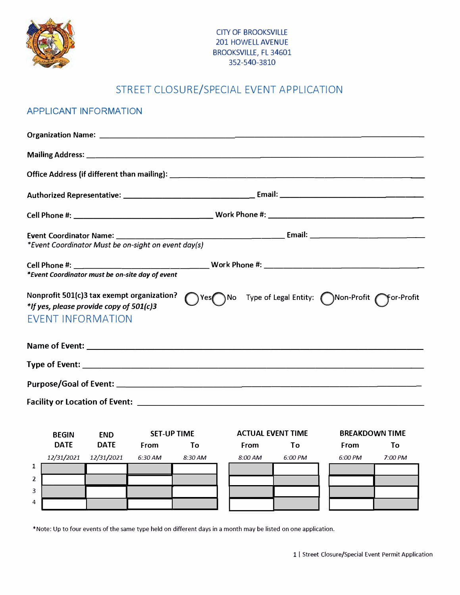

# STREET CLOSURE/SPECIAL EVENT APPLICATION

#### APPLICANT INFORMATION

| Nonprofit 501(c)3 tax exempt organization?<br>*If yes, please provide copy of 501(c)3<br>EVENT INFORMATION | Nes No Type of Legal Entity: Non-Profit ror-Profit |
|------------------------------------------------------------------------------------------------------------|----------------------------------------------------|
|                                                                                                            |                                                    |
|                                                                                                            |                                                    |
|                                                                                                            |                                                    |
|                                                                                                            |                                                    |

|                | <b>BEGIN</b> | <b>END</b>  | <b>SET-UP TIME</b> |         | <b>ACTUAL EVENT TIME</b> |              |  | <b>BREAKDOWN TIME</b> |           |
|----------------|--------------|-------------|--------------------|---------|--------------------------|--------------|--|-----------------------|-----------|
|                | <b>DATE</b>  | <b>DATE</b> | <b>From</b>        | Τo      | <b>From</b>              | Τo           |  | <b>From</b>           | To        |
|                | 12/31/2021   | 12/31/2021  | $6:30$ AM          | 8:30 AM | 8:00 AM                  | $6:00 \, PM$ |  | 6:00 PM               | $7:00$ PM |
| ı              |              |             |                    |         |                          |              |  |                       |           |
| $\overline{2}$ |              |             |                    |         |                          |              |  |                       |           |
| 3              |              |             |                    |         |                          |              |  |                       |           |
| $\overline{4}$ |              |             |                    |         |                          |              |  |                       |           |

\*Note: Up to four events of the same type held on different days in a month may be listed on one application.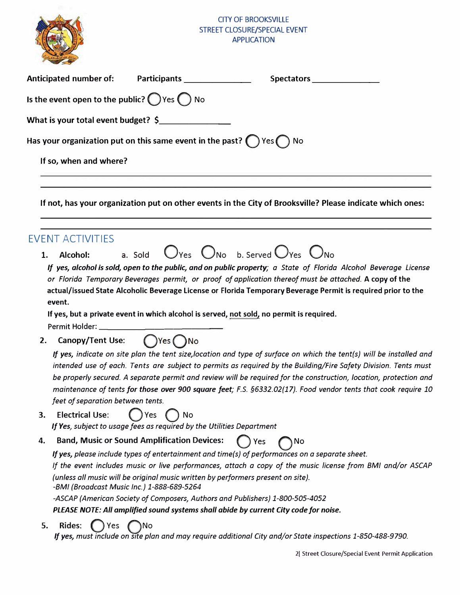

| <b>Contract Service</b>                                                                |                                                                       |                                                                                                                                                                                                                                                                                                                                                        |
|----------------------------------------------------------------------------------------|-----------------------------------------------------------------------|--------------------------------------------------------------------------------------------------------------------------------------------------------------------------------------------------------------------------------------------------------------------------------------------------------------------------------------------------------|
| <b>Anticipated number of:</b>                                                          | Participants ________________                                         |                                                                                                                                                                                                                                                                                                                                                        |
| Is the event open to the public? $\bigcirc$ Yes $\bigcirc$ No                          |                                                                       |                                                                                                                                                                                                                                                                                                                                                        |
| What is your total event budget? \$                                                    |                                                                       |                                                                                                                                                                                                                                                                                                                                                        |
| Has your organization put on this same event in the past? $\bigcirc$ Yes $\bigcirc$ No |                                                                       |                                                                                                                                                                                                                                                                                                                                                        |
|                                                                                        |                                                                       |                                                                                                                                                                                                                                                                                                                                                        |
| If so, when and where?                                                                 |                                                                       |                                                                                                                                                                                                                                                                                                                                                        |
|                                                                                        |                                                                       | If not, has your organization put on other events in the City of Brooksville? Please indicate which ones:                                                                                                                                                                                                                                              |
| <b>EVENT ACTIVITIES</b>                                                                |                                                                       |                                                                                                                                                                                                                                                                                                                                                        |
| Alcohol:<br>1.                                                                         | a. Sold                                                               | $O_{Yes}$ $O_{No}$ b. Served $O_{Yes}$ $O_{No}$                                                                                                                                                                                                                                                                                                        |
| event.                                                                                 |                                                                       | If yes, alcohol is sold, open to the public, and on public property; a State of Florida Alcohol Beverage License<br>or Florida Temporary Beverages permit, or proof of application thereof must be attached. A copy of the<br>actual/issued State Alcoholic Beverage License or Florida Temporary Beverage Permit is required prior to the             |
|                                                                                        |                                                                       | If yes, but a private event in which alcohol is served, not sold, no permit is required.                                                                                                                                                                                                                                                               |
|                                                                                        |                                                                       |                                                                                                                                                                                                                                                                                                                                                        |
| Canopy/Tent Use: $\bigcap$ Yes $\bigcap$ No<br>2.                                      |                                                                       |                                                                                                                                                                                                                                                                                                                                                        |
|                                                                                        |                                                                       | If yes, indicate on site plan the tent size, location and type of surface on which the tent(s) will be installed and                                                                                                                                                                                                                                   |
|                                                                                        | feet of separation between tents.                                     | intended use of each. Tents are subject to permits as required by the Building/Fire Safety Division. Tents must<br>be properly secured. A separate permit and review will be required for the construction, location, protection and<br>maintenance of tents for those over 900 square feet; F.S. §6332.02(17). Food vendor tents that cook require 10 |
| <b>Electrical Use:</b><br>3.                                                           | Yes<br>No                                                             |                                                                                                                                                                                                                                                                                                                                                        |
|                                                                                        | If Yes, subject to usage fees as required by the Utilities Department |                                                                                                                                                                                                                                                                                                                                                        |
| 4.                                                                                     | <b>Band, Music or Sound Amplification Devices:</b>                    | Yes<br>No                                                                                                                                                                                                                                                                                                                                              |
|                                                                                        |                                                                       | If yes, please include types of entertainment and time(s) of performances on a separate sheet.                                                                                                                                                                                                                                                         |
|                                                                                        |                                                                       | If the event includes music or live performances, attach a copy of the music license from BMI and/or ASCAP                                                                                                                                                                                                                                             |
| -BMI (Broadcast Music Inc.) 1-888-689-5264                                             |                                                                       | (unless all music will be original music written by performers present on site).                                                                                                                                                                                                                                                                       |
|                                                                                        |                                                                       | -ASCAP (American Society of Composers, Authors and Publishers) 1-800-505-4052                                                                                                                                                                                                                                                                          |
|                                                                                        |                                                                       | PLEASE NOTE: All amplified sound systems shall abide by current City code for noise.                                                                                                                                                                                                                                                                   |
| <b>Rides:</b><br>5.<br><b>Yes</b>                                                      | ۱No                                                                   |                                                                                                                                                                                                                                                                                                                                                        |

*If yes, must include on site plan and may require additional City and/or State inspections 1-850-488-9790.*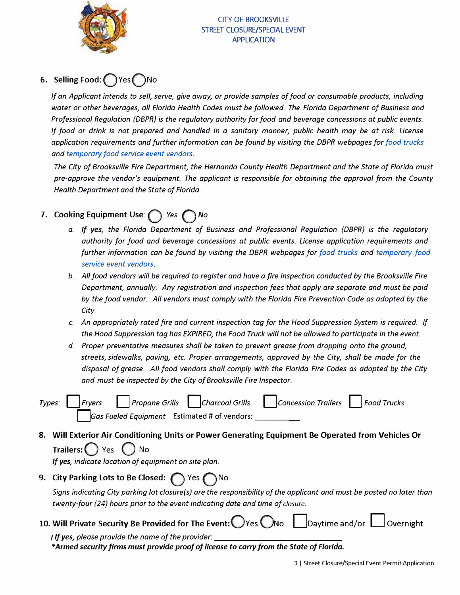

#### CITY OF BROOKSVILLE STREET CLOSURE/SPECIAL EVENT APPLICATION

# **6. Selling Food:QYesQNo**

*If an Applicant intends to sell, serve, give away, or provide samples of food or consumable products, including water or other beverages, all Florida Health Codes must be followed. The Florida Department of Business and Professional Regulation (DBPR} is the regulatory authority for food and beverage concessions at public events. If food or drink is not prepared and handled in a sanitary manner, public health may be at risk. License application requirements and further information can be found by visiting the DBPR webpages for food trucks and temporary food service event vendors.*

*The City of Brooksville Fire Department, the Hernando County Health Department and the State of Florida must pre-approve the vendor's equipment. The applicant is responsible for obtaining the approval from the County Health Department and the State of Florida.*

## **7. Cooking Equipment Use: Q** *Yes* Q *No*

- *a. If yes, the Florida Department of Business and Professional Regulation (DBPR) is the regulatory authority for food and beverage concessions at public events. License application requirements and further information can be found by visiting the DBPR webpages for [food trucks an](http://www.myfloridalicense.com/DBPR/hotels-restaurants/licensing/mobilefood-guide/)d [temporary fo](http://www.myfloridalicense.com/DBPR/hotels-restaurants/licensing/temporaryevent-guide/)od [service event vendors.](http://www.myfloridalicense.com/DBPR/hotels-restaurants/licensing/temporaryevent-guide/)*
- *b. All food vendors will be required to register and have a fire inspection conducted by the Brooksville Fire Department, annually. Any registration and inspection fees that apply are separate and must be paid by the food vendor. All vendors must comply with the Florida Fire Prevention Code as adopted by the City.*
- *c. An appropriately rated fire and current inspection tag for the Hood Suppression System is required. If the Hood Suppression tag has EXPIRED, the Food Truck will not be allowed to participate in the event.*
- *d. Proper preventative measures shall be taken to prevent grease from dropping onto the ground, streets, sidewalks, paving, etc. Proper arrangements, approved by the City, shall be made for the disposal of grease. All food vendors shall comply with the Florida Fire Codes as adopted by the City and must be inspected by the City of Brooksville Fire Inspector.*

|  |                                              | $\tau$ ypes: Fryers Propane Grills Charcoal Grills Concession Trailers Food Trucks |  |
|--|----------------------------------------------|------------------------------------------------------------------------------------|--|
|  | Gas Fueled Equipment Estimated # of vendors: |                                                                                    |  |

**8. Will Exterior Air Conditioning Units or Power Generating Equipment Be Operated from Vehicles Or Trailers:** Q **Yes** Q **No**

*If yes, indicate location of equipment on site plan.*

**9. City Parking Lots to Be Closed:** Q **Yes** Q **No**

*Signs indicating City parking lot c/osure( s) are the responsibility of the applicant and must be posted no later than twenty-four (24) hours prior to the event indicating date and time of closure.*

**10. Will Private Security Be Provided for The Event:** Ves UNo | Daytime and/or | Overnight

*( If yes, please provide the name of the provider: \_\_\_\_\_\_\_\_\_\_\_\_\_ \_ \*Armed security firms must provide proof of license to carry from the State of Florida.*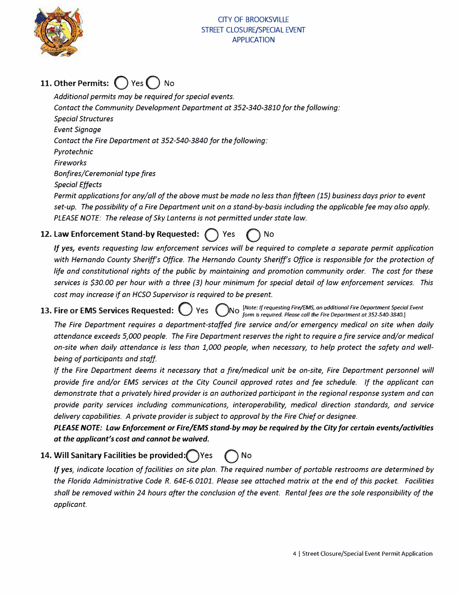

# **11. Other Permits:**  $\binom{ }{ }$  Yes  $\binom{ }{ }$  No

*Additional permits may be required for special events. Contact the Community Development Department at 352-340-3810 for the following: Special Structures Event Signage Contact the Fire Department at 352-540-3840 for the following: Pyrotechnic Fireworks Bonfires/Ceremonial type fires Special Effects Permit applications for any/all of the above must be made no less than fifteen {15) business days prior to event*

*set-up. The possibility of a Fire Department unit on a stand-by-basis including the applicable fee may also apply. PLEASE NOTE: The release of Sky Lanterns is not permitted under state law.*

## **12. Law Enforcement Stand-by Requested: () Yes () No**

*If yes, events requesting law enforcement services will be required to complete a separate permit application with Hernando County Sheriff's Office. The Hernando County Sheriff's Office is responsible for the protection of life and constitutional rights of the public by maintaining and promotion community order. The cost for these services is \$30.00 per hour with a three (3) hour minimum for special detail of law enforcement services. This cost may increase if an HCSO Supervisor is required to be present.*

**13. Fire or EMS Services Requested:**  $\bigcirc$  **Yes**  $\bigcirc$ *esting Fire/EMS, on � dditionol Fire Deportment Special Event form 1s reqwred. Please call the Fire Department at 352 540-3840.)* 

*The Fire Department requires a department-staffed fire service and/or emergency medical on site when daily attendance exceeds 5,000 people. The Fire Department reserves the right to require a fire service and/or medical on-site when daily attendance is less than 1,000 people, when necessary, to help protect the safety and wellbeing of participants and staff*

*If the Fire Department deems it necessary that a fire/medical unit be on-site, Fire Department personnel will provide fire and/or EMS services at the City Council approved rates and fee schedule. If the applicant can demonstrate that a privately hired provider is an authorized participant in the regional response system and can provide parity services including communications, interoperability, medical direction standards, and service delivery capabilities. A private provider is subject to approval by the Fire Chief or designee.*

*PLEASE NOTE: Law Enforcement or Fire/EMS stand-by may be required by the City for certain events/activities at the applicant's cost and cannot be waived.*

**14. Will Sanitary Facilities be provided:QYes Q** No

*If yes, indicate location of facilities on site plan. The required number of portable restrooms are determined by the Florida Administrative Code R. 64E-6.0101. Please see attached matrix at the end of this packet. Facilities shall be removed within 24 hours after the conclusion of the event. Rental fees are the sole responsibility of the applicant.*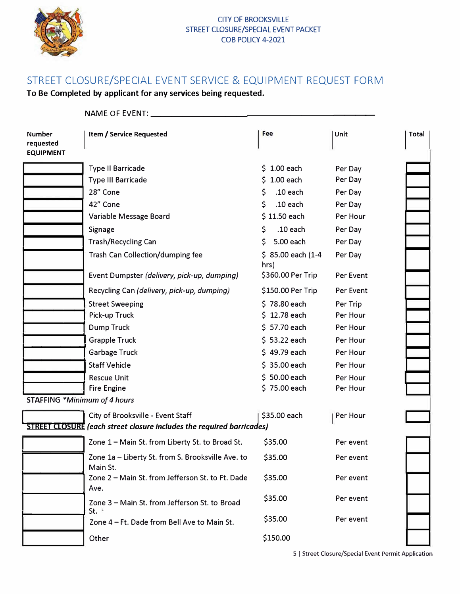

#### CITY OF BROOKSVILLE STREET CLOSURE/SPECIAL EVENT PACKET COB POLICY 4-2021

# STREET CLOSURE/SPECIAL EVENT SERVICE & EQUIPMENT REQUEST FORM

**To Be Completed by applicant for any services being requested.** 

|                                                | NAME OF EVENT:                                                                                                    |                             |           |              |
|------------------------------------------------|-------------------------------------------------------------------------------------------------------------------|-----------------------------|-----------|--------------|
| <b>Number</b><br>requested<br><b>EQUIPMENT</b> | Item / Service Requested                                                                                          | Fee                         | Unit      | <b>Total</b> |
|                                                | <b>Type II Barricade</b>                                                                                          | $$1.00$ each                | Per Day   |              |
|                                                | <b>Type III Barricade</b>                                                                                         | $$1.00$ each                | Per Day   |              |
|                                                | 28" Cone                                                                                                          | $.10$ each<br>S.            | Per Day   |              |
|                                                | 42" Cone                                                                                                          | $.10$ each<br>S.            | Per Day   |              |
|                                                | Variable Message Board                                                                                            | $$11.50$ each               | Per Hour  |              |
|                                                | Signage                                                                                                           | $.10$ each<br>S.            | Per Day   |              |
|                                                | <b>Trash/Recycling Can</b>                                                                                        | 5.00 each<br>S.             | Per Day   |              |
|                                                | Trash Can Collection/dumping fee                                                                                  | $$85.00$ each (1-4)<br>hrs) | Per Day   |              |
|                                                | Event Dumpster (delivery, pick-up, dumping)                                                                       | \$360.00 Per Trip           | Per Event |              |
|                                                | Recycling Can (delivery, pick-up, dumping)                                                                        | \$150.00 Per Trip           | Per Event |              |
|                                                | <b>Street Sweeping</b>                                                                                            | \$78.80 each                | Per Trip  |              |
|                                                | Pick-up Truck                                                                                                     | 12.78 each<br>S.            | Per Hour  |              |
|                                                | <b>Dump Truck</b>                                                                                                 | \$57.70 each                | Per Hour  |              |
|                                                | <b>Grapple Truck</b>                                                                                              | $$53.22$ each               | Per Hour  |              |
|                                                | Garbage Truck                                                                                                     | $$49.79$ each               | Per Hour  |              |
|                                                | <b>Staff Vehicle</b>                                                                                              | $$35.00$ each               | Per Hour  |              |
|                                                | <b>Rescue Unit</b>                                                                                                | $$50.00$ each               | Per Hour  |              |
|                                                | <b>Fire Engine</b>                                                                                                | \$75.00 each                | Per Hour  |              |
|                                                | <b>STAFFING *Minimum of 4 hours</b>                                                                               |                             |           |              |
|                                                | City of Brooksville - Event Staff<br><b>STREET CLOSURE</b> (each street closure includes the required barricades) | \$35.00 each                | Per Hour  |              |
|                                                | Zone 1 - Main St. from Liberty St. to Broad St.                                                                   | \$35.00                     | Per event |              |
|                                                | Zone 1a - Liberty St. from S. Brooksville Ave. to<br>Main St.                                                     | \$35.00                     | Per event |              |
|                                                | Zone 2 - Main St. from Jefferson St. to Ft. Dade<br>Ave.                                                          | \$35.00                     | Per event |              |
|                                                | Zone 3 - Main St. from Jefferson St. to Broad<br>St. $\cdot$                                                      | \$35.00                     | Per event |              |
|                                                | Zone 4 - Ft. Dade from Bell Ave to Main St.                                                                       | \$35.00                     | Per event |              |
|                                                | Other                                                                                                             | \$150.00                    |           |              |

5 I Street Closure/Special Event Permit Application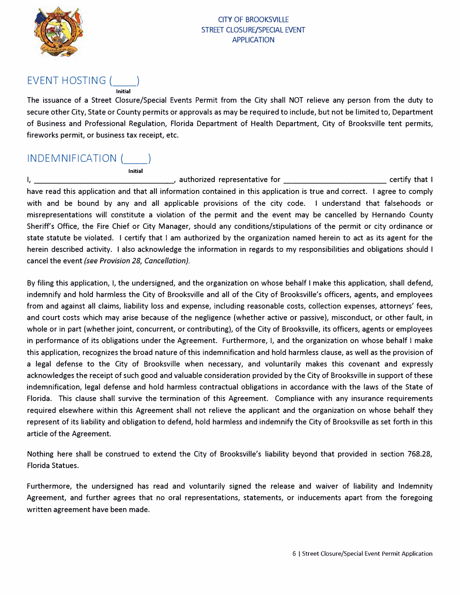

## EVENT HOSTING (

The issuance of a Street Closure/Special Events Permit from the City shall NOT relieve any person from the duty to secure other City, State or County permits or approvals as may be required to include, but not be limited to, Department of Business and Professional Regulation, Florida Department of Health Department, City of Brooksville tent permits, fireworks permit, or business tax receipt, etc.

#### INDEMNIFICATION( \_\_ )

**Initial** 

**Initial** 

I, \_\_\_\_\_\_\_\_\_\_\_\_\_\_\_ \_, authorized representative for \_\_\_\_\_\_\_\_\_\_\_\_ certify that I have read this application and that all information contained in this application is true and correct. I agree to comply with and be bound by any and all applicable provisions of the city code. I understand that falsehoods or misrepresentations will constitute a violation of the permit and the event may be cancelled by Hernando County Sheriff's Office, the Fire Chief or City Manager, should any conditions/stipulations of the permit or city ordinance or state statute be violated. I certify that I am authorized by the organization named herein to act as its agent for the herein described activity. I also acknowledge the information in regards to my responsibilities and obligations should I cancel the event *(see Provision 28, Cancellation).* 

By filing this application, I, the undersigned, and the organization on whose behalf I make this application, shall defend, indemnify and hold harmless the City of Brooksville and all of the City of Brooksville's officers, agents, and employees from and against all claims, liability loss and expense, including reasonable costs, collection expenses, attorneys' fees, and court costs which may arise because of the negligence (whether active or passive), misconduct, or other fault, in whole or in part (whether joint, concurrent, or contributing), of the City of Brooksville, its officers, agents or employees in performance of its obligations under the Agreement. Furthermore, I, and the organization on whose behalf I make this application, recognizes the broad nature of this indemnification and hold harmless clause, as well as the provision of a legal defense to the City of Brooksville when necessary, and voluntarily makes this covenant and expressly acknowledges the receipt of such good and valuable consideration provided by the City of Brooksville in support of these indemnification, legal defense and hold harmless contractual obligations in accordance with the laws of the State of Florida. This clause shall survive the termination of this Agreement. Compliance with any insurance requirements required elsewhere within this Agreement shall not relieve the applicant and the organization on whose behalf they represent of its liability and obligation to defend, hold harmless and indemnify the City of Brooksville as set forth in this article of the Agreement.

Nothing here shall be construed to extend the City of Brooksville's liability beyond that provided in section 768.28, Florida Statues.

Furthermore, the undersigned has read and voluntarily signed the release and waiver of liability and Indemnity Agreement, and further agrees that no oral representations, statements, or inducements apart from the foregoing written agreement have been made.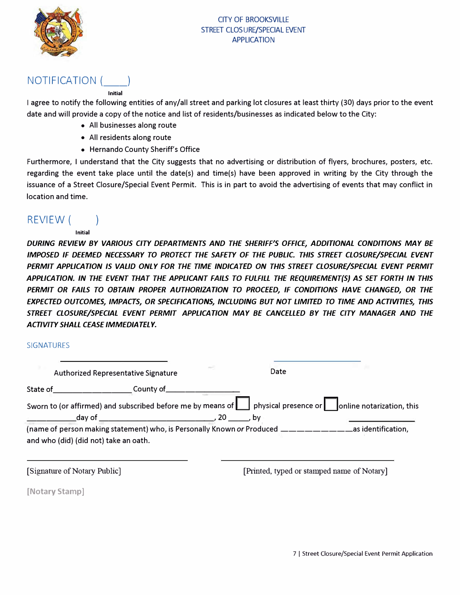

### NOTIFICATION (

#### **Initial**

I agree to notify the following entities of any/all street and parking lot closures at least thirty (30) days prior to the event date and will provide a copy of the notice and list of residents/businesses as indicated below to the City:

- All businesses along route
- All residents along route
- Hernando County Sheriff's Office

Furthermore, I understand that the City suggests that no advertising or distribution of flyers, brochures, posters, etc. regarding the event take place until the date(s) and time(s) have been approved in writing by the City through the issuance of a Street Closure/Special Event Permit. This is in part to avoid the advertising of events that may conflict in location and time.

### REVIEW( )

#### **Initial**

*DURING REVIEW BY VARIOUS CITY DEPARTMENTS AND THE SHERIFF'S OFFICE, ADDITIONAL CONDITIONS MAY BE IMPOSED IF DEEMED NECESSARY TO PROTECT THE SAFETY OF THE PUBLIC. THIS STREET CLOSURE/SPEC/AL EVENT PERMIT APPLICATION IS VALID ONLY FOR THE TIME INDICATED ON THIS STREET CLOSURE/SPECIAL EVENT PERMIT APPLICATION. IN THE EVENT THAT THE APPLICANT FAILS TO FULFILL THE REQU/REMENT(S) AS SET FORTH IN THIS PERMIT OR FAILS TO OBTAIN PROPER AUTHORIZATION TO PROCEED, IF CONDITIONS HAVE CHANGED, OR THE EXPECTED OUTCOMES, IMPACTS, OR SPECIF/CATIONS, INCLUDING BUT NOT LIMITED TO TIME AND ACTIVITIES, THIS STREET CLOSURE/SPECIAL EVENT PERMIT APPL/CATION MAY BE CANCELLED BY THE CITY MANAGER AND THE ACTIVITY SHALL CEASE IMMEDIATELY.* 

#### **SIGNATURES**

|                                           | Authorized Representative Signature                                                                                                                                                                                                                                                                                                                  |                     | Date |                    |
|-------------------------------------------|------------------------------------------------------------------------------------------------------------------------------------------------------------------------------------------------------------------------------------------------------------------------------------------------------------------------------------------------------|---------------------|------|--------------------|
| State of <b>Exercise State of Alberta</b> |                                                                                                                                                                                                                                                                                                                                                      |                     |      |                    |
|                                           | Sworn to (or affirmed) and subscribed before me by means of     physical presence or     online notarization, this<br>day of the contract of the contract of the contract of the contract of the contract of the contract of the contract of the contract of the contract of the contract of the contract of the contract of the contract of the con | <b>20</b><br>o . bv |      |                    |
| and who (did) (did not) take an oath.     | (name of person making statement) who, is Personally Known or Produced __________                                                                                                                                                                                                                                                                    |                     |      | as identification, |

[Signature of Notary Public]

[Printed, typed or stamped name of Notary]

**[Notary Stamp]**